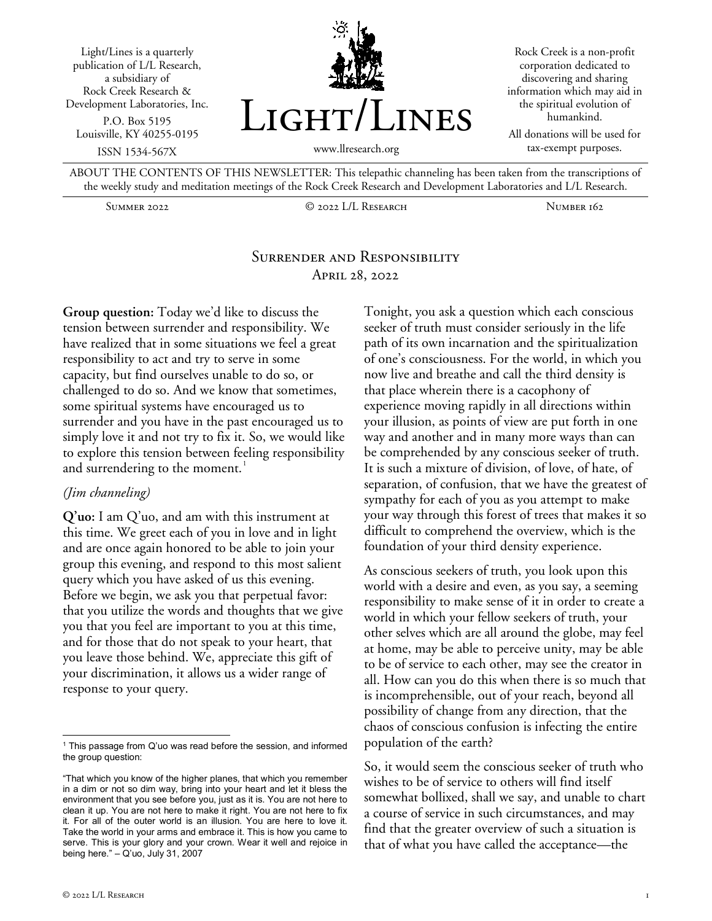Light/Lines is a quarterly publication of L/L Research, a subsidiary of Rock Creek Research & Development Laboratories, Inc. P.O. Box 5195 Louisville, KY 40255-0195 ISSN 1534-567X



Rock Creek is a non-profit corporation dedicated to discovering and sharing information which may aid in the spiritual evolution of humankind.

All donations will be used for tax-exempt purposes.

ABOUT THE CONTENTS OF THIS NEWSLETTER: This telepathic channeling has been taken from the transcriptions of the weekly study and meditation meetings of the Rock Creek Research and Development Laboratories and L/L Research.

Summer 2022 © 2022 L/L Research Number 162

# Surrender and Responsibility April 28, 2022

**Group question:** Today we'd like to discuss the tension between surrender and responsibility. We have realized that in some situations we feel a great responsibility to act and try to serve in some capacity, but find ourselves unable to do so, or challenged to do so. And we know that sometimes, some spiritual systems have encouraged us to surrender and you have in the past encouraged us to simply love it and not try to fix it. So, we would like to explore this tension between feeling responsibility and surrendering to the moment.<sup>[1](#page-0-0)</sup>

#### *(Jim channeling)*

**Q'uo:** I am Q'uo, and am with this instrument at this time. We greet each of you in love and in light and are once again honored to be able to join your group this evening, and respond to this most salient query which you have asked of us this evening. Before we begin, we ask you that perpetual favor: that you utilize the words and thoughts that we give you that you feel are important to you at this time, and for those that do not speak to your heart, that you leave those behind. We, appreciate this gift of your discrimination, it allows us a wider range of response to your query.

Tonight, you ask a question which each conscious seeker of truth must consider seriously in the life path of its own incarnation and the spiritualization of one's consciousness. For the world, in which you now live and breathe and call the third density is that place wherein there is a cacophony of experience moving rapidly in all directions within your illusion, as points of view are put forth in one way and another and in many more ways than can be comprehended by any conscious seeker of truth. It is such a mixture of division, of love, of hate, of separation, of confusion, that we have the greatest of sympathy for each of you as you attempt to make your way through this forest of trees that makes it so difficult to comprehend the overview, which is the foundation of your third density experience.

As conscious seekers of truth, you look upon this world with a desire and even, as you say, a seeming responsibility to make sense of it in order to create a world in which your fellow seekers of truth, your other selves which are all around the globe, may feel at home, may be able to perceive unity, may be able to be of service to each other, may see the creator in all. How can you do this when there is so much that is incomprehensible, out of your reach, beyond all possibility of change from any direction, that the chaos of conscious confusion is infecting the entire population of the earth?

So, it would seem the conscious seeker of truth who wishes to be of service to others will find itself somewhat bollixed, shall we say, and unable to chart a course of service in such circumstances, and may find that the greater overview of such a situation is that of what you have called the acceptance—the

<span id="page-0-0"></span> $1$  This passage from Q'uo was read before the session, and informed the group question:

<sup>&</sup>quot;That which you know of the higher planes, that which you remember in a dim or not so dim way, bring into your heart and let it bless the environment that you see before you, just as it is. You are not here to clean it up. You are not here to make it right. You are not here to fix it. For all of the outer world is an illusion. You are here to love it. Take the world in your arms and embrace it. This is how you came to serve. This is your glory and your crown. Wear it well and rejoice in being here." – Q'uo, July 31, 2007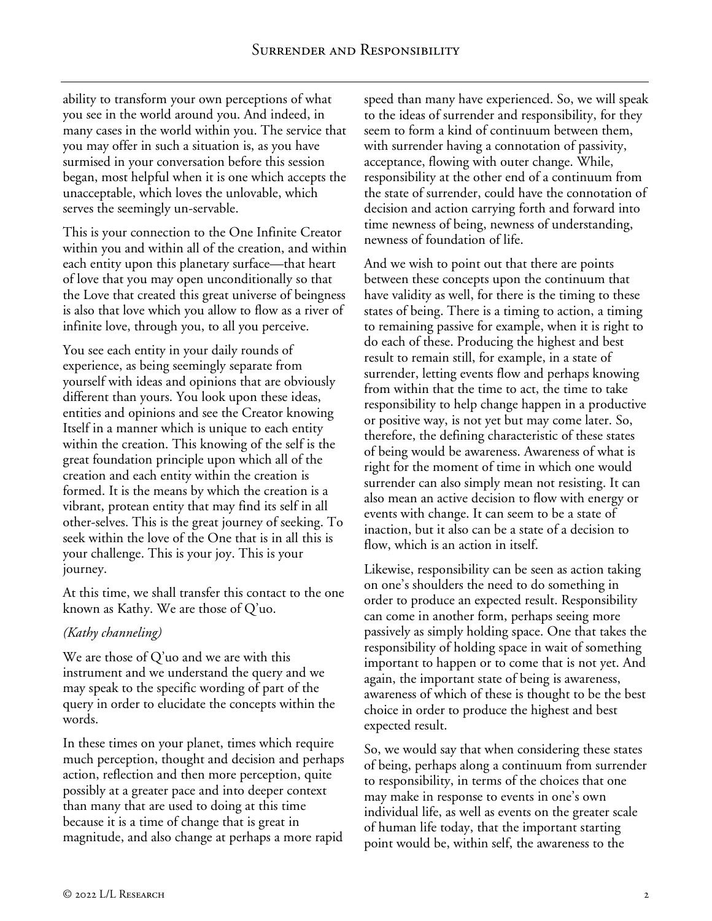ability to transform your own perceptions of what you see in the world around you. And indeed, in many cases in the world within you. The service that you may offer in such a situation is, as you have surmised in your conversation before this session began, most helpful when it is one which accepts the unacceptable, which loves the unlovable, which serves the seemingly un-servable.

This is your connection to the One Infinite Creator within you and within all of the creation, and within each entity upon this planetary surface—that heart of love that you may open unconditionally so that the Love that created this great universe of beingness is also that love which you allow to flow as a river of infinite love, through you, to all you perceive.

You see each entity in your daily rounds of experience, as being seemingly separate from yourself with ideas and opinions that are obviously different than yours. You look upon these ideas, entities and opinions and see the Creator knowing Itself in a manner which is unique to each entity within the creation. This knowing of the self is the great foundation principle upon which all of the creation and each entity within the creation is formed. It is the means by which the creation is a vibrant, protean entity that may find its self in all other-selves. This is the great journey of seeking. To seek within the love of the One that is in all this is your challenge. This is your joy. This is your journey.

At this time, we shall transfer this contact to the one known as Kathy. We are those of Q'uo.

# *(Kathy channeling)*

We are those of Q'uo and we are with this instrument and we understand the query and we may speak to the specific wording of part of the query in order to elucidate the concepts within the words.

In these times on your planet, times which require much perception, thought and decision and perhaps action, reflection and then more perception, quite possibly at a greater pace and into deeper context than many that are used to doing at this time because it is a time of change that is great in magnitude, and also change at perhaps a more rapid

speed than many have experienced. So, we will speak to the ideas of surrender and responsibility, for they seem to form a kind of continuum between them, with surrender having a connotation of passivity, acceptance, flowing with outer change. While, responsibility at the other end of a continuum from the state of surrender, could have the connotation of decision and action carrying forth and forward into time newness of being, newness of understanding, newness of foundation of life.

And we wish to point out that there are points between these concepts upon the continuum that have validity as well, for there is the timing to these states of being. There is a timing to action, a timing to remaining passive for example, when it is right to do each of these. Producing the highest and best result to remain still, for example, in a state of surrender, letting events flow and perhaps knowing from within that the time to act, the time to take responsibility to help change happen in a productive or positive way, is not yet but may come later. So, therefore, the defining characteristic of these states of being would be awareness. Awareness of what is right for the moment of time in which one would surrender can also simply mean not resisting. It can also mean an active decision to flow with energy or events with change. It can seem to be a state of inaction, but it also can be a state of a decision to flow, which is an action in itself.

Likewise, responsibility can be seen as action taking on one's shoulders the need to do something in order to produce an expected result. Responsibility can come in another form, perhaps seeing more passively as simply holding space. One that takes the responsibility of holding space in wait of something important to happen or to come that is not yet. And again, the important state of being is awareness, awareness of which of these is thought to be the best choice in order to produce the highest and best expected result.

So, we would say that when considering these states of being, perhaps along a continuum from surrender to responsibility, in terms of the choices that one may make in response to events in one's own individual life, as well as events on the greater scale of human life today, that the important starting point would be, within self, the awareness to the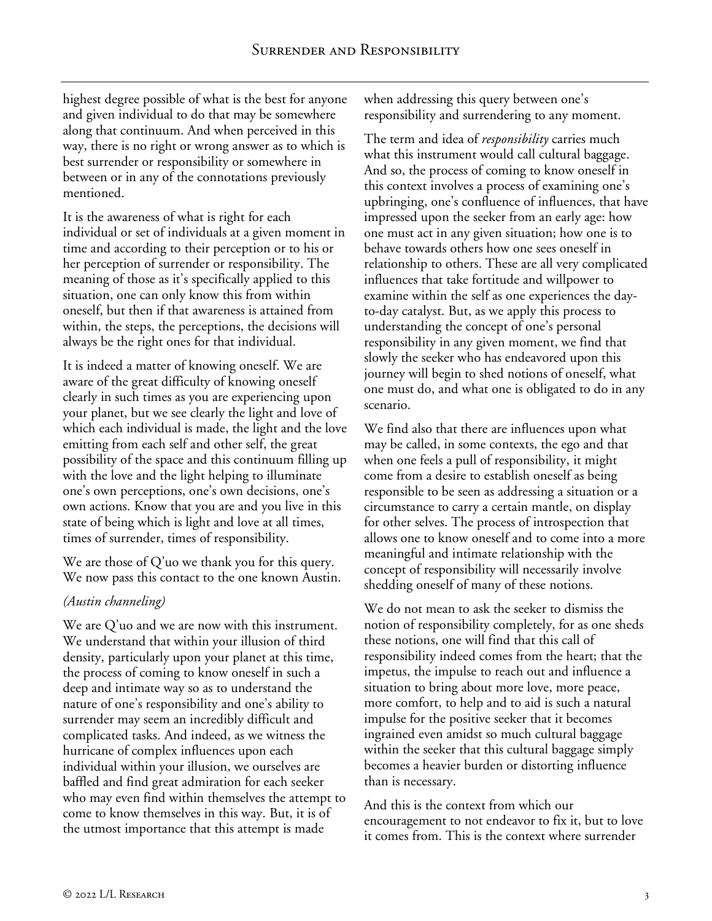highest degree possible of what is the best for anyone and given individual to do that may be somewhere along that continuum. And when perceived in this way, there is no right or wrong answer as to which is best surrender or responsibility or somewhere in between or in any of the connotations previously mentioned.

It is the awareness of what is right for each individual or set of individuals at a given moment in time and according to their perception or to his or her perception of surrender or responsibility. The meaning of those as it's specifically applied to this situation, one can only know this from within oneself, but then if that awareness is attained from within, the steps, the perceptions, the decisions will always be the right ones for that individual.

It is indeed a matter of knowing oneself. We are aware of the great difficulty of knowing oneself clearly in such times as you are experiencing upon your planet, but we see clearly the light and love of which each individual is made, the light and the love emitting from each self and other self, the great possibility of the space and this continuum filling up with the love and the light helping to illuminate one's own perceptions, one's own decisions, one's own actions. Know that you are and you live in this state of being which is light and love at all times, times of surrender, times of responsibility.

We are those of Q'uo we thank you for this query. We now pass this contact to the one known Austin.

# *(Austin channeling)*

We are Q'uo and we are now with this instrument. We understand that within your illusion of third density, particularly upon your planet at this time, the process of coming to know oneself in such a deep and intimate way so as to understand the nature of one's responsibility and one's ability to surrender may seem an incredibly difficult and complicated tasks. And indeed, as we witness the hurricane of complex influences upon each individual within your illusion, we ourselves are baffled and find great admiration for each seeker who may even find within themselves the attempt to come to know themselves in this way. But, it is of the utmost importance that this attempt is made

when addressing this query between one's responsibility and surrendering to any moment.

The term and idea of *responsibility* carries much what this instrument would call cultural baggage. And so, the process of coming to know oneself in this context involves a process of examining one's upbringing, one's confluence of influences, that have impressed upon the seeker from an early age: how one must act in any given situation; how one is to behave towards others how one sees oneself in relationship to others. These are all very complicated influences that take fortitude and willpower to examine within the self as one experiences the dayto-day catalyst. But, as we apply this process to understanding the concept of one's personal responsibility in any given moment, we find that slowly the seeker who has endeavored upon this journey will begin to shed notions of oneself, what one must do, and what one is obligated to do in any scenario.

We find also that there are influences upon what may be called, in some contexts, the ego and that when one feels a pull of responsibility, it might come from a desire to establish oneself as being responsible to be seen as addressing a situation or a circumstance to carry a certain mantle, on display for other selves. The process of introspection that allows one to know oneself and to come into a more meaningful and intimate relationship with the concept of responsibility will necessarily involve shedding oneself of many of these notions.

We do not mean to ask the seeker to dismiss the notion of responsibility completely, for as one sheds these notions, one will find that this call of responsibility indeed comes from the heart; that the impetus, the impulse to reach out and influence a situation to bring about more love, more peace, more comfort, to help and to aid is such a natural impulse for the positive seeker that it becomes ingrained even amidst so much cultural baggage within the seeker that this cultural baggage simply becomes a heavier burden or distorting influence than is necessary.

And this is the context from which our encouragement to not endeavor to fix it, but to love it comes from. This is the context where surrender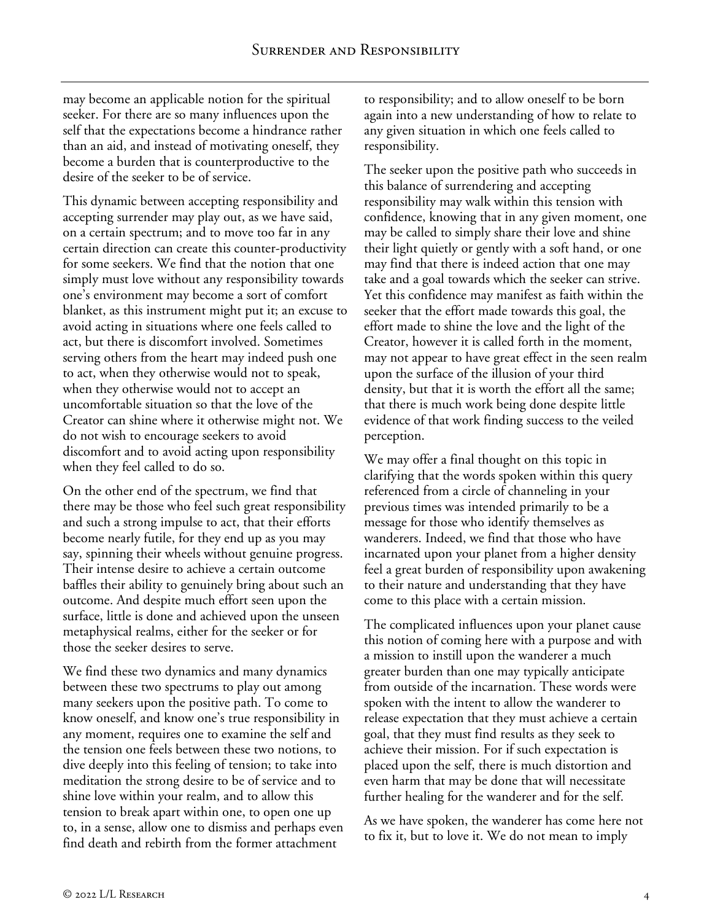may become an applicable notion for the spiritual seeker. For there are so many influences upon the self that the expectations become a hindrance rather than an aid, and instead of motivating oneself, they become a burden that is counterproductive to the desire of the seeker to be of service.

This dynamic between accepting responsibility and accepting surrender may play out, as we have said, on a certain spectrum; and to move too far in any certain direction can create this counter-productivity for some seekers. We find that the notion that one simply must love without any responsibility towards one's environment may become a sort of comfort blanket, as this instrument might put it; an excuse to avoid acting in situations where one feels called to act, but there is discomfort involved. Sometimes serving others from the heart may indeed push one to act, when they otherwise would not to speak, when they otherwise would not to accept an uncomfortable situation so that the love of the Creator can shine where it otherwise might not. We do not wish to encourage seekers to avoid discomfort and to avoid acting upon responsibility when they feel called to do so.

On the other end of the spectrum, we find that there may be those who feel such great responsibility and such a strong impulse to act, that their efforts become nearly futile, for they end up as you may say, spinning their wheels without genuine progress. Their intense desire to achieve a certain outcome baffles their ability to genuinely bring about such an outcome. And despite much effort seen upon the surface, little is done and achieved upon the unseen metaphysical realms, either for the seeker or for those the seeker desires to serve.

We find these two dynamics and many dynamics between these two spectrums to play out among many seekers upon the positive path. To come to know oneself, and know one's true responsibility in any moment, requires one to examine the self and the tension one feels between these two notions, to dive deeply into this feeling of tension; to take into meditation the strong desire to be of service and to shine love within your realm, and to allow this tension to break apart within one, to open one up to, in a sense, allow one to dismiss and perhaps even find death and rebirth from the former attachment

to responsibility; and to allow oneself to be born again into a new understanding of how to relate to any given situation in which one feels called to responsibility.

The seeker upon the positive path who succeeds in this balance of surrendering and accepting responsibility may walk within this tension with confidence, knowing that in any given moment, one may be called to simply share their love and shine their light quietly or gently with a soft hand, or one may find that there is indeed action that one may take and a goal towards which the seeker can strive. Yet this confidence may manifest as faith within the seeker that the effort made towards this goal, the effort made to shine the love and the light of the Creator, however it is called forth in the moment, may not appear to have great effect in the seen realm upon the surface of the illusion of your third density, but that it is worth the effort all the same; that there is much work being done despite little evidence of that work finding success to the veiled perception.

We may offer a final thought on this topic in clarifying that the words spoken within this query referenced from a circle of channeling in your previous times was intended primarily to be a message for those who identify themselves as wanderers. Indeed, we find that those who have incarnated upon your planet from a higher density feel a great burden of responsibility upon awakening to their nature and understanding that they have come to this place with a certain mission.

The complicated influences upon your planet cause this notion of coming here with a purpose and with a mission to instill upon the wanderer a much greater burden than one may typically anticipate from outside of the incarnation. These words were spoken with the intent to allow the wanderer to release expectation that they must achieve a certain goal, that they must find results as they seek to achieve their mission. For if such expectation is placed upon the self, there is much distortion and even harm that may be done that will necessitate further healing for the wanderer and for the self.

As we have spoken, the wanderer has come here not to fix it, but to love it. We do not mean to imply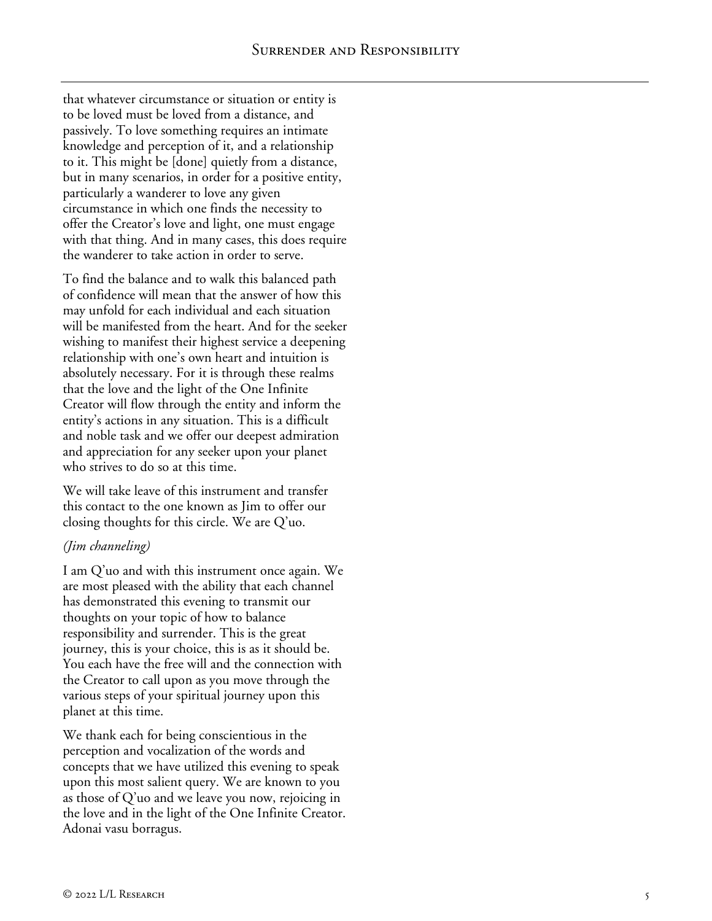that whatever circumstance or situation or entity is to be loved must be loved from a distance, and passively. To love something requires an intimate knowledge and perception of it, and a relationship to it. This might be [done] quietly from a distance, but in many scenarios, in order for a positive entity, particularly a wanderer to love any given circumstance in which one finds the necessity to offer the Creator's love and light, one must engage with that thing. And in many cases, this does require the wanderer to take action in order to serve.

To find the balance and to walk this balanced path of confidence will mean that the answer of how this may unfold for each individual and each situation will be manifested from the heart. And for the seeker wishing to manifest their highest service a deepening relationship with one's own heart and intuition is absolutely necessary. For it is through these realms that the love and the light of the One Infinite Creator will flow through the entity and inform the entity's actions in any situation. This is a difficult and noble task and we offer our deepest admiration and appreciation for any seeker upon your planet who strives to do so at this time.

We will take leave of this instrument and transfer this contact to the one known as Jim to offer our closing thoughts for this circle. We are Q'uo.

#### *(Jim channeling)*

I am Q'uo and with this instrument once again. We are most pleased with the ability that each channel has demonstrated this evening to transmit our thoughts on your topic of how to balance responsibility and surrender. This is the great journey, this is your choice, this is as it should be. You each have the free will and the connection with the Creator to call upon as you move through the various steps of your spiritual journey upon this planet at this time.

We thank each for being conscientious in the perception and vocalization of the words and concepts that we have utilized this evening to speak upon this most salient query. We are known to you as those of Q'uo and we leave you now, rejoicing in the love and in the light of the One Infinite Creator. Adonai vasu borragus.